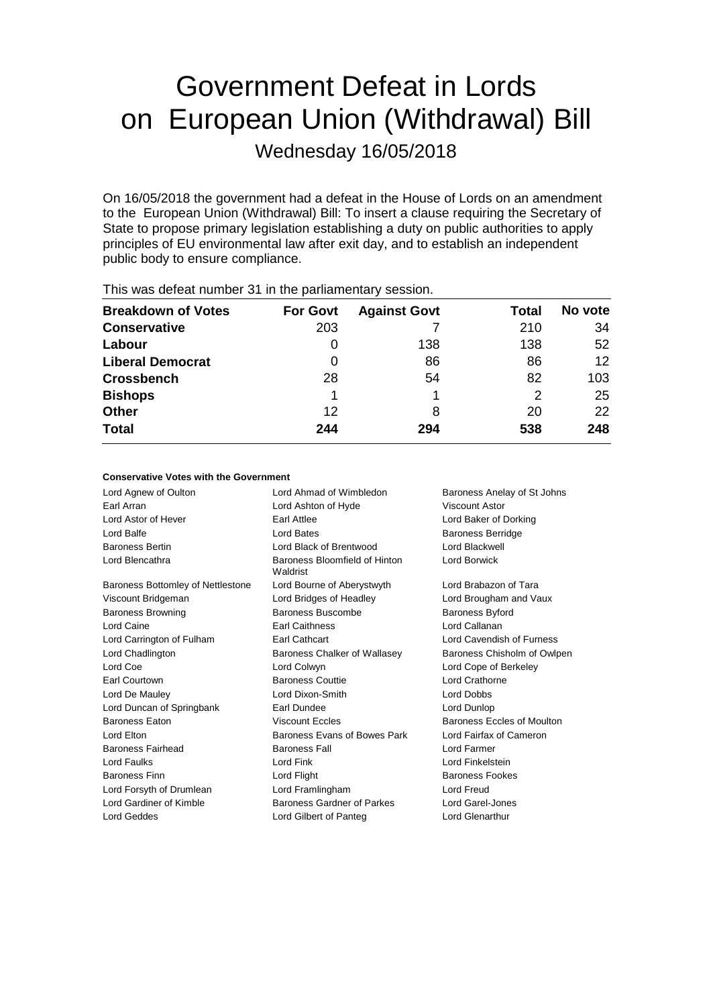# Government Defeat in Lords on European Union (Withdrawal) Bill

Wednesday 16/05/2018

On 16/05/2018 the government had a defeat in the House of Lords on an amendment to the European Union (Withdrawal) Bill: To insert a clause requiring the Secretary of State to propose primary legislation establishing a duty on public authorities to apply principles of EU environmental law after exit day, and to establish an independent public body to ensure compliance.

| <b>Breakdown of Votes</b> | <b>For Govt</b> | <b>Against Govt</b> | Total | No vote |  |
|---------------------------|-----------------|---------------------|-------|---------|--|
| <b>Conservative</b>       | 203             |                     | 210   | 34      |  |
| Labour                    |                 | 138                 | 138   | 52      |  |
| <b>Liberal Democrat</b>   | 0               | 86                  | 86    | 12      |  |
| <b>Crossbench</b>         | 28              | 54                  | 82    | 103     |  |
| <b>Bishops</b>            |                 |                     | 2     | 25      |  |
| <b>Other</b>              | 12              | 8                   | 20    | 22      |  |
| <b>Total</b>              | 244             | 294                 | 538   | 248     |  |
|                           |                 |                     |       |         |  |

This was defeat number 31 in the parliamentary session.

#### **Conservative Votes with the Government**

| Lord Agnew of Oulton              | Lord Ahmad of Wimbledon                        | Baroness Anelay of St Johns |
|-----------------------------------|------------------------------------------------|-----------------------------|
| Earl Arran                        | Lord Ashton of Hyde                            | Viscount Astor              |
| Lord Astor of Hever               | Earl Attlee                                    | Lord Baker of Dorking       |
| Lord Balfe                        | Lord Bates                                     | <b>Baroness Berridge</b>    |
| <b>Baroness Bertin</b>            | Lord Black of Brentwood                        | Lord Blackwell              |
| Lord Blencathra                   | Baroness Bloomfield of Hinton<br>Waldrist      | Lord Borwick                |
| Baroness Bottomley of Nettlestone | Lord Bourne of Aberystwyth                     | Lord Brabazon of Tara       |
| Viscount Bridgeman                | Lord Bridges of Headley                        | Lord Brougham and Vaux      |
| <b>Baroness Browning</b>          | Baroness Buscombe                              | Baroness Byford             |
| Lord Caine                        | <b>Earl Caithness</b>                          | Lord Callanan               |
| Lord Carrington of Fulham         | Earl Cathcart                                  | Lord Cavendish of Furness   |
| Lord Chadlington                  | Baroness Chalker of Wallasey                   | Baroness Chisholm of Owlpen |
| Lord Coe                          | Lord Colwyn                                    | Lord Cope of Berkeley       |
| Earl Courtown                     | <b>Baroness Couttie</b>                        | Lord Crathorne              |
| Lord De Mauley                    | Lord Dixon-Smith                               | Lord Dobbs                  |
| Lord Duncan of Springbank         | Earl Dundee                                    | Lord Dunlop                 |
| <b>Baroness Eaton</b>             | <b>Viscount Eccles</b>                         | Baroness Eccles of Moulton  |
| Lord Elton                        | Baroness Evans of Bowes Park                   | Lord Fairfax of Cameron     |
| Baroness Fairhead                 | <b>Baroness Fall</b>                           | Lord Farmer                 |
| Lord Faulks                       | Lord Fink                                      | Lord Finkelstein            |
| <b>Baroness Finn</b>              | Lord Flight                                    | <b>Baroness Fookes</b>      |
| Lord Forsyth of Drumlean          | Lord Framlingham                               | Lord Freud                  |
| Lord Gardiner of Kimble           | Baroness Gardner of Parkes<br>Lord Garel-Jones |                             |
| Lord Geddes                       | Lord Gilbert of Panteg                         | Lord Glenarthur             |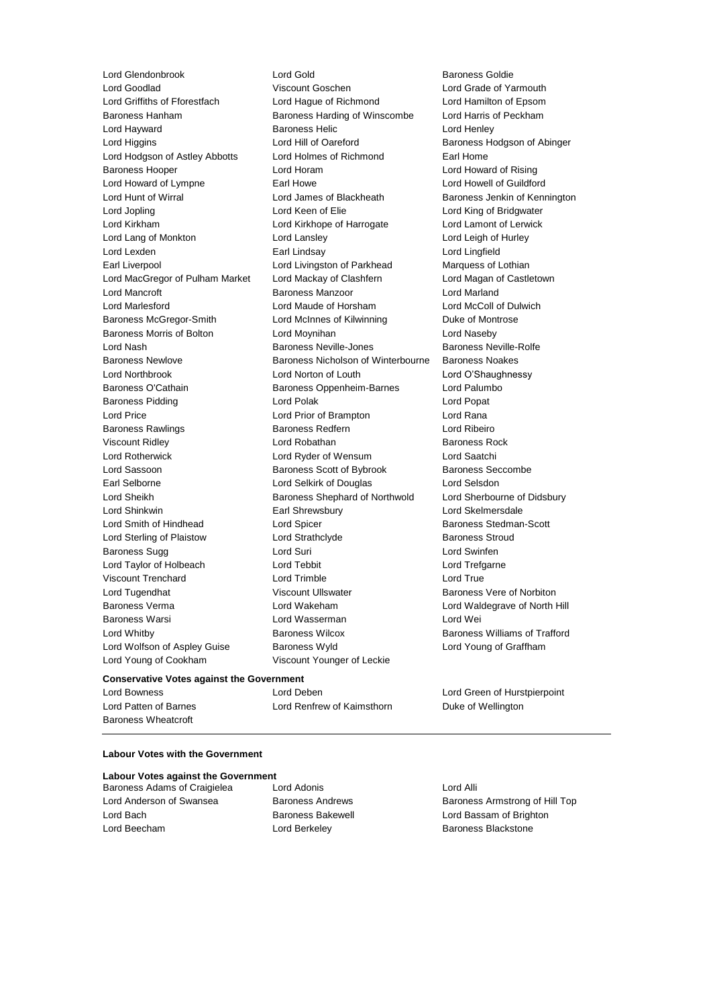**Conservative Votes against the Government** Lord Griffiths of Fforestfach Lord Hague of Richmond Lord Hamilton of Epsom Baroness Hanham Baroness Harding of Winscombe Lord Harris of Peckham Lord Hayward Baroness Helic Lord Henley Lord Higgins Lord Hill of Oareford Baroness Hodgson of Abinger Lord Hodgson of Astley Abbotts Lord Holmes of Richmond Earl Home Baroness Hooper Lord Horam Lord Howard of Rising Lord Howard of Lympne **Earl Howe Earl Howell Communist Communist** Lord Howell of Guildford Lord Hunt of Wirral Lord James of Blackheath Baroness Jenkin of Kennington Lord Jopling Lord Keen of Elie Lord King of Bridgwater Lord Kirkham Lord Kirkhope of Harrogate Lord Lamont of Lerwick Lord Lang of Monkton Lord Lansley Lord Leigh of Hurley Lord Lexden Earl Lindsay Lord Lingfield Earl Liverpool **Lord Livingston of Parkhead** Marquess of Lothian Lord MacGregor of Pulham Market Lord Mackay of Clashfern Lord Magan of Castletown Lord Mancroft Baroness Manzoor Lord Marland Lord Marlesford Lord Maude of Horsham Lord McColl of Dulwich Baroness McGregor-Smith Lord McInnes of Kilwinning Duke of Montrose Baroness Morris of Bolton Lord Moynihan Lord Naseby Lord Nash Baroness Neville-Jones Baroness Neville-Rolfe Baroness Newlove Baroness Nicholson of Winterbourne Baroness Noakes Lord Northbrook Lord Norton of Louth Lord O'Shaughnessy Baroness O'Cathain **Baroness Oppenheim-Barnes** Lord Palumbo Baroness Pidding **Lord Polace Contract Contract Lord Polace Contract Contract Contract Contract Contract Contract Contract Contract Contract Contract Contract Contract Contract Contract Contract Contract Contract Contract** Lord Price Lord Prior of Brampton Lord Rana Baroness Rawlings **Baroness Redfern** Baroness Redfern **Lord Ribeiro** Viscount Ridley **No. 2018** Lord Robathan **Baroness Rock Baroness Rock** Lord Rotherwick Lord Ryder of Wensum Lord Saatchi Lord Sassoon **Baroness Scott of Bybrook** Baroness Seccombe Earl Selborne Lord Selkirk of Douglas Lord Selsdon Lord Sheikh **Baroness Shephard of Northwold** Lord Sherbourne of Didsbury Lord Shinkwin Earl Shrewsbury Lord Skelmersdale Lord Smith of Hindhead Lord Spicer Baroness Stedman-Scott Lord Sterling of Plaistow **Lord Strathclyde** Baroness Stroud Baroness Sugg **Lord Suri** Lord Suri **Lord Swinfen** Lord Taylor of Holbeach Lord Tebbit Lord Trefgarne Viscount Trenchard Lord Trimble Lord True Lord Tugendhat **Matter State Viscount Ullswater** Baroness Vere of Norbiton Baroness Verma Lord Wakeham Lord Waldegrave of North Hill Baroness Warsi Lord Wasserman Lord Wei Lord Whitby **Baroness Wilcox** Baroness Wilcox **Baroness Williams of Trafford** Lord Wolfson of Aspley Guise Baroness Wyld Lord Young of Graffham Lord Young of Cookham Viscount Younger of Leckie

Lord Glendonbrook Lord Gold Baroness Goldie<br>
Lord Goodlad Baroness Goldie<br>
Viscount Goschen<br>
Lord Grade of Ya Viscount Goschen **Lord Grade of Yarmouth** 

Lord Bowness Lord Deben Lord Green of Hurstpierpoint Lord Patten of Barnes **Lord Renfrew of Kaimsthorn** Duke of Wellington

#### **Labour Votes with the Government**

#### **Labour Votes against the Government**

Baroness Adams of Craigielea Lord Adonis Corp. Lord Alli Lord Bach Baroness Bakewell Lord Bassam of Brighton Lord Beecham **Lord Berkeley Baroness Blackstone** 

Baroness Wheatcroft

Lord Anderson of Swansea Baroness Andrews Baroness Armstrong of Hill Top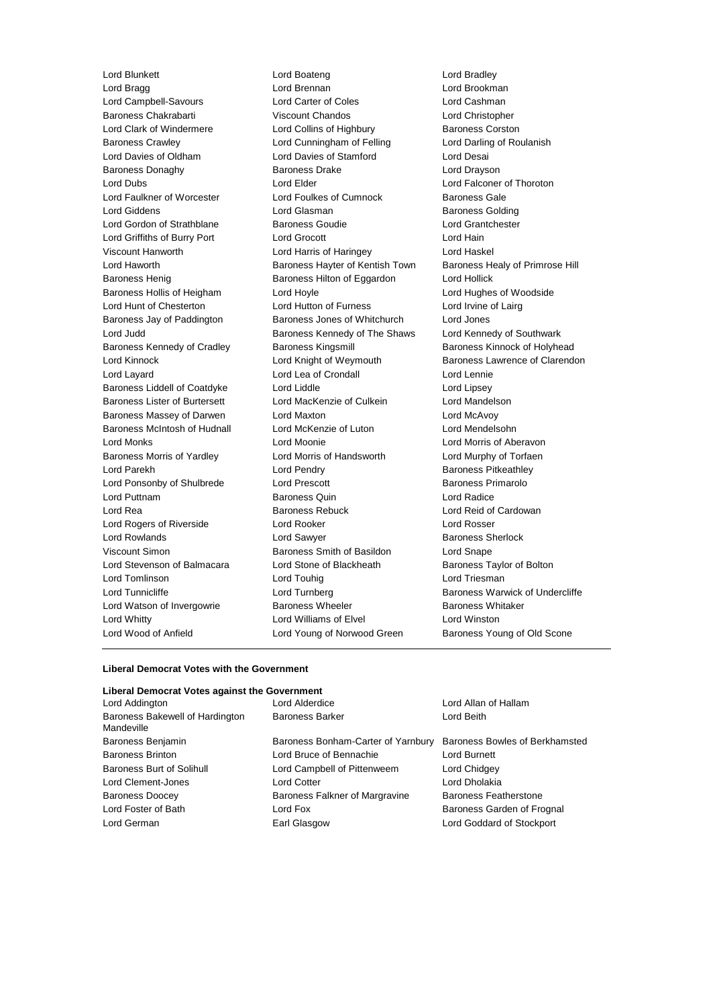Lord Hunt of Chesterton Lord Hutton of Furness Lord Wood of Anfield Lord Young of Norwood Green Baroness Young of Old Scone

Lord Blunkett Lord Boateng Lord Bradley Lord Bragg **Lord Brennan** Lord Brennan **Lord Brookman** Lord Campbell-Savours Lord Carter of Coles Lord Cashman Baroness Chakrabarti Viscount Chandos Lord Christopher Lord Clark of Windermere **Lord Collins of Highbury** Baroness Corston Baroness Crawley **Lord Cunningham of Felling Carol** Lord Darling of Roulanish Lord Davies of Oldham Lord Davies of Stamford Lord Desai Baroness Donaghy **Baroness Drake** Lord Drayson Lord Dubs Lord Elder Lord Falconer of Thoroton Lord Faulkner of Worcester Lord Foulkes of Cumnock Baroness Gale Lord Giddens Lord Glasman Baroness Golding Lord Gordon of Strathblane Baroness Goudie Lord Grantchester Lord Griffiths of Burry Port Lord Grocott Lord Hain Viscount Hanworth Lord Harris of Haringey Lord Haskel Lord Haworth **Baroness Hayter of Kentish Town** Baroness Healy of Primrose Hill Baroness Henig **Baroness Hilton of Eggardon** Lord Hollick Baroness Hollis of Heigham Lord Hoyle Lord Hord Hughes of Woodside<br>
Lord Hunt of Chesterton Lord Hutton of Furness Lord Irvine of Lairg Baroness Jay of Paddington Baroness Jones of Whitchurch Lord Jones Lord Judd **Baroness Kennedy of The Shaws** Lord Kennedy of Southwark Baroness Kennedy of Cradley **Baroness Kingsmill** Baroness Kinnock of Holyhead Lord Kinnock **Lord Knight of Weymouth** Baroness Lawrence of Clarendon Lord Layard Lord Lea of Crondall Lord Lennie Baroness Liddell of Coatdyke Lord Liddle Lord Lines Lord Lipsey Baroness Lister of Burtersett Lord MacKenzie of Culkein Lord Mandelson Baroness Massey of Darwen Lord Maxton Lord McAvoy Baroness McIntosh of Hudnall Lord McKenzie of Luton Lord Mendelsohn Lord Monks Lord Moonie Lord Morris of Aberavon Baroness Morris of Yardley Lord Morris of Handsworth Lord Murphy of Torfaen Lord Parekh **Lord Pendry Communist Lord Pendry Baroness Pitkeathley** Lord Ponsonby of Shulbrede Lord Prescott Baroness Primarolo Lord Puttnam Baroness Quin Lord Radice Lord Rea **Baroness Rebuck** Lord Reid of Cardowan **Lord Reid of Cardowan** Lord Rogers of Riverside Lord Rooker Lord Rosser Lord Rowlands **Lord Sawyer Lord Sawyer Baroness Sherlock** Viscount Simon Baroness Smith of Basildon Lord Snape Lord Stevenson of Balmacara Lord Stone of Blackheath Baroness Taylor of Bolton Lord Tomlinson Lord Touhig Lord Triesman Lord Tunnicliffe **Lord Turnberg Community** Baroness Warwick of Undercliffe Lord Watson of Invergowrie **Baroness Wheeler** Baroness Whitaker Lord Whitty **Lord Williams of Elvel** Lord Winston

#### **Liberal Democrat Votes with the Government**

#### **Liberal Democrat Votes against the Government**

| Lord Addington<br>Lord Alderdice                                        | Lord Allan of Hallam           |
|-------------------------------------------------------------------------|--------------------------------|
| Baroness Bakewell of Hardington<br><b>Baroness Barker</b><br>Mandeville | Lord Beith                     |
| Baroness Benjamin<br>Baroness Bonham-Carter of Yarnbury                 | Baroness Bowles of Berkhamsted |
| <b>Baroness Brinton</b><br>Lord Bruce of Bennachie                      | Lord Burnett                   |
| <b>Baroness Burt of Solihull</b><br>Lord Campbell of Pittenweem         | Lord Chidgey                   |
| <b>Lord Cotter</b><br>Lord Clement-Jones                                | Lord Dholakia                  |
| <b>Baroness Doocey</b><br>Baroness Falkner of Margravine                | <b>Baroness Featherstone</b>   |
| Lord Foster of Bath<br>Lord Fox                                         | Baroness Garden of Frognal     |
| Lord German<br>Earl Glasgow                                             | Lord Goddard of Stockport      |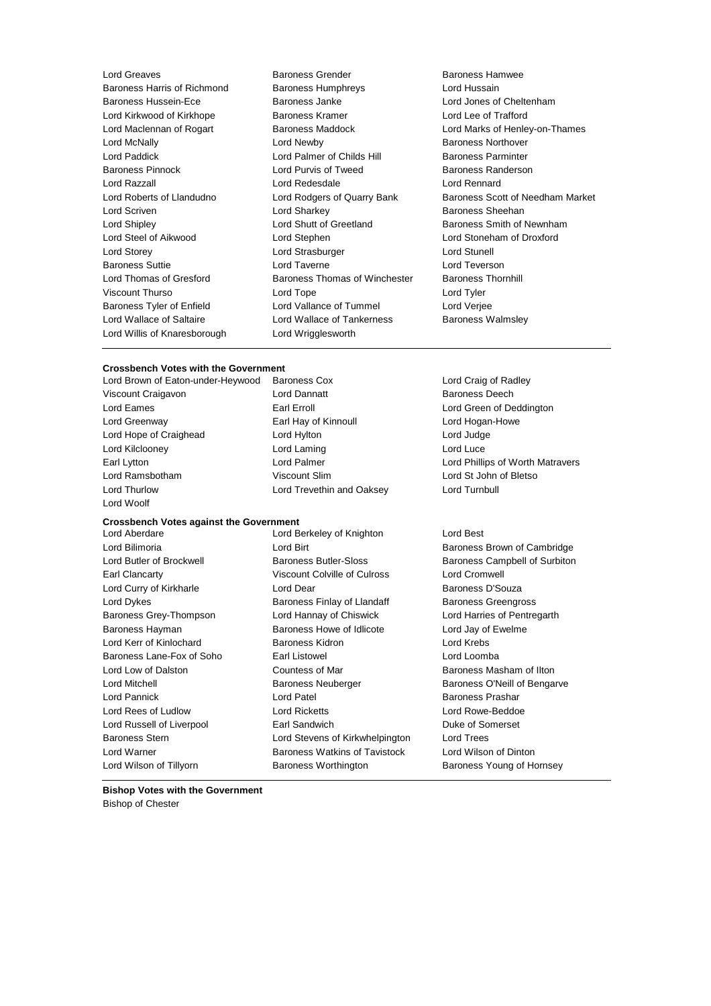Lord Greaves **Baroness Grender** Baroness Hamwee<br>
Baroness Haris of Richmond Baroness Humphrevs **Baroness Haris Lord Hussain** Baroness Harris of Richmond Baroness Humphreys Baroness Hussein-Ece Baroness Janke Lord Jones of Cheltenham Lord Kirkwood of Kirkhope **Baroness Kramer Lord Lee of Trafford Lord Lee of Trafford** Lord Maclennan of Rogart Baroness Maddock Lord Marks of Henley-on-Thames Lord McNally Lord Newby Baroness Northover Lord Paddick **Lord Palmer of Childs Hill** Baroness Parminter<br>Baroness Pinnock **Lord Purvis of Tweed** Baroness Randerso Lord Razzall Lord Redesdale Lord Rennard Lord Roberts of Llandudno Lord Rodgers of Quarry Bank Baroness Scott of Needham Market Lord Scriven **Lord Sharkey Constant Constant Lord Sharkey Baroness Sheehan** Lord Shipley Lord Shutt of Greetland Baroness Smith of Newnham Lord Steel of Aikwood Lord Stephen Lord Stoneham of Droxford Lord Storey **Lord Strasburger** Lord Strasburger **Lord Strasburger** Lord Stunell Baroness Suttie Lord Taverne Lord Teverson Lord Thomas of Gresford **Baroness Thomas of Winchester** Baroness Thornhill Viscount Thurso Lord Tope Lord Tyler Baroness Tyler of Enfield Lord Vallance of Tummel Lord Verjee Lord Wallace of Saltaire **Lord Wallace of Tankerness** Baroness Walmsley Lord Willis of Knaresborough Lord Wrigglesworth

Lord Purvis of Tweed Baroness Randerson

## **Crossbench Votes with the Government**

Lord Woolf

Lord Brown of Eaton-under-Heywood Baroness Cox Lord Craig of Radley Viscount Craigavon Lord Dannatt Baroness Deech Lord Eames **Earl Erroll** Earl Erroll **Earl Erroll** Earl Erroll **Lord Green of Deddington** Lord Greenway Earl Hay of Kinnoull Lord Hogan-Howe Lord Hope of Craighead Lord Hylton Lord Hylton Lord Judge Lord Kilclooney **Lord Laming** Lord Laming **Lord Luce** Lord Ramsbotham Viscount Slim Lord St John of Bletso Lord Thurlow Lord Trevethin and Oaksey Lord Turnbull

#### **Crossbench Votes against the Government**

Lord Bilimoria **Lord Birt** Baroness Brown of Cambridge **Lord Birt** Baroness Brown of Cambridge Lord Butler of Brockwell Baroness Butler-Sloss Baroness Campbell of Surbiton Earl Clancarty Viscount Colville of Culross Lord Cromwell Lord Curry of Kirkharle **Lord Dear** Lord Dear **Baroness D'Souza** Lord Dykes **Baroness Finlay of Llandaff** Baroness Greengross **Baroness** Greengross Baroness Grey-Thompson Lord Hannay of Chiswick Lord Harries of Pentregarth Baroness Hayman **Baroness Howe of Idlicote** Lord Jay of Ewelme Lord Kerr of Kinlochard Baroness Kidron Lord Krebs Baroness Lane-Fox of Soho Earl Listowel **Earl Long Earl Long Lord Loomba** Lord Low of Dalston **Countess of Mar** Baroness Masham of Ilton Lord Mitchell Baroness Neuberger Baroness O'Neill of Bengarve Lord Pannick **Lord Patel Baroness Prashar** Lord Patel **Baroness Prashar** Lord Rees of Ludlow Lord Ricketts Lord Rowe-Beddoe Lord Russell of Liverpool **Earl Sandwich Communist Communist Communist Communist Communist Communist Communist Communist Communist Communist Communist Communist Communist Communist Communist Communist Communist Communist C** Baroness Stern Lord Stevens of Kirkwhelpington Lord Trees Lord Warner Baroness Watkins of Tavistock Lord Wilson of Dinton Lord Wilson of Tillyorn **Baroness Worthington** Baroness Young of Hornsey

Lord Aberdare Lord Berkeley of Knighton Lord Best

Earl Lytton Lord Palmer Lord Phillips of Worth Matravers

**Bishop Votes with the Government** Bishop of Chester